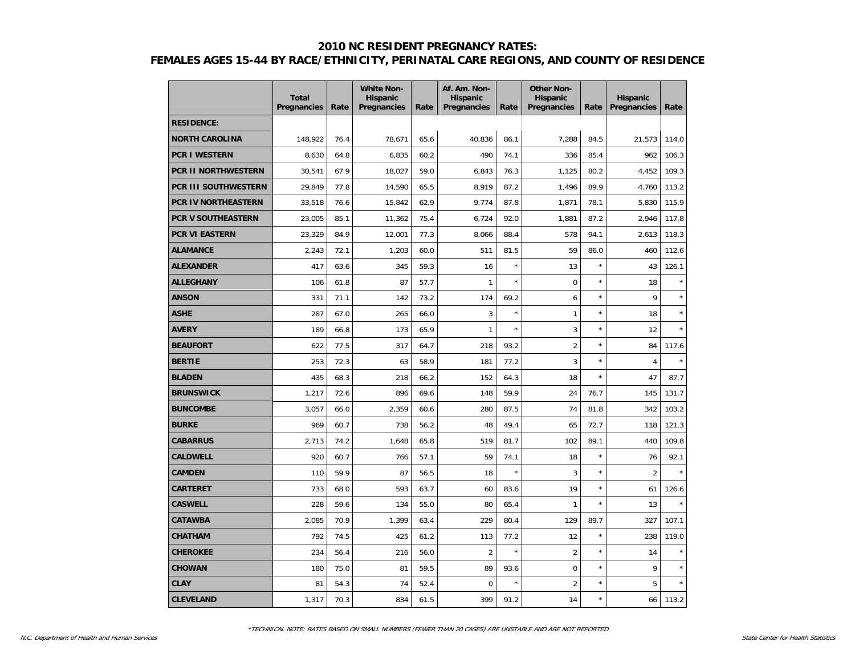|                            | <b>Total</b><br>Pregnancies | Rate | <b>White Non-</b><br><b>Hispanic</b><br><b>Pregnancies</b> | Rate | Af. Am. Non-<br><b>Hispanic</b><br>Pregnancies | Rate    | <b>Other Non-</b><br><b>Hispanic</b><br>Pregnancies | Rate    | <b>Hispanic</b><br>Pregnancies | Rate  |
|----------------------------|-----------------------------|------|------------------------------------------------------------|------|------------------------------------------------|---------|-----------------------------------------------------|---------|--------------------------------|-------|
| <b>RESIDENCE:</b>          |                             |      |                                                            |      |                                                |         |                                                     |         |                                |       |
| <b>NORTH CAROLINA</b>      | 148,922                     | 76.4 | 78,671                                                     | 65.6 | 40,836                                         | 86.1    | 7,288                                               | 84.5    | 21,573                         | 114.0 |
| <b>PCR I WESTERN</b>       | 8,630                       | 64.8 | 6,835                                                      | 60.2 | 490                                            | 74.1    | 336                                                 | 85.4    | 962                            | 106.3 |
| <b>PCR II NORTHWESTERN</b> | 30,541                      | 67.9 | 18,027                                                     | 59.0 | 6,843                                          | 76.3    | 1,125                                               | 80.2    | 4.452                          | 109.3 |
| PCR III SOUTHWESTERN       | 29,849                      | 77.8 | 14,590                                                     | 65.5 | 8,919                                          | 87.2    | 1,496                                               | 89.9    | 4,760                          | 113.2 |
| PCR IV NORTHEASTERN        | 33,518                      | 76.6 | 15,842                                                     | 62.9 | 9,774                                          | 87.8    | 1,871                                               | 78.1    | 5,830                          | 115.9 |
| <b>PCR V SOUTHEASTERN</b>  | 23,005                      | 85.1 | 11,362                                                     | 75.4 | 6,724                                          | 92.0    | 1,881                                               | 87.2    | 2,946                          | 117.8 |
| PCR VI EASTERN             | 23,329                      | 84.9 | 12,001                                                     | 77.3 | 8,066                                          | 88.4    | 578                                                 | 94.1    | 2,613                          | 118.3 |
| <b>ALAMANCE</b>            | 2,243                       | 72.1 | 1,203                                                      | 60.0 | 511                                            | 81.5    | 59                                                  | 86.0    | 460                            | 112.6 |
| <b>ALEXANDER</b>           | 417                         | 63.6 | 345                                                        | 59.3 | 16                                             | $\star$ | 13                                                  | $\star$ | 43                             | 126.1 |
| <b>ALLEGHANY</b>           | 106                         | 61.8 | 87                                                         | 57.7 | $\mathbf{1}$                                   | $\star$ | $\mathbf 0$                                         | $\star$ | 18                             |       |
| <b>ANSON</b>               | 331                         | 71.1 | 142                                                        | 73.2 | 174                                            | 69.2    | 6                                                   | $\star$ | 9                              |       |
| <b>ASHE</b>                | 287                         | 67.0 | 265                                                        | 66.0 | 3                                              | $\star$ | 1                                                   | $\star$ | 18                             |       |
| <b>AVERY</b>               | 189                         | 66.8 | 173                                                        | 65.9 | $\mathbf{1}$                                   | $\star$ | 3                                                   | $\star$ | 12                             |       |
| <b>BEAUFORT</b>            | 622                         | 77.5 | 317                                                        | 64.7 | 218                                            | 93.2    | $\overline{2}$                                      | $\star$ | 84                             | 117.6 |
| <b>BERTIE</b>              | 253                         | 72.3 | 63                                                         | 58.9 | 181                                            | 77.2    | 3                                                   | $\star$ | $\overline{4}$                 |       |
| <b>BLADEN</b>              | 435                         | 68.3 | 218                                                        | 66.2 | 152                                            | 64.3    | 18                                                  | $\star$ | 47                             | 87.7  |
| <b>BRUNSWICK</b>           | 1,217                       | 72.6 | 896                                                        | 69.6 | 148                                            | 59.9    | 24                                                  | 76.7    | 145                            | 131.7 |
| <b>BUNCOMBE</b>            | 3,057                       | 66.0 | 2,359                                                      | 60.6 | 280                                            | 87.5    | 74                                                  | 81.8    | 342                            | 103.2 |
| <b>BURKE</b>               | 969                         | 60.7 | 738                                                        | 56.2 | 48                                             | 49.4    | 65                                                  | 72.7    | 118                            | 121.3 |
| <b>CABARRUS</b>            | 2,713                       | 74.2 | 1,648                                                      | 65.8 | 519                                            | 81.7    | 102                                                 | 89.1    | 440                            | 109.8 |
| <b>CALDWELL</b>            | 920                         | 60.7 | 766                                                        | 57.1 | 59                                             | 74.1    | 18                                                  | $\star$ | 76                             | 92.1  |
| <b>CAMDEN</b>              | 110                         | 59.9 | 87                                                         | 56.5 | 18                                             | $\star$ | 3                                                   | $\star$ | $\overline{2}$                 |       |
| <b>CARTERET</b>            | 733                         | 68.0 | 593                                                        | 63.7 | 60                                             | 83.6    | 19                                                  | $\star$ | 61                             | 126.6 |
| <b>CASWELL</b>             | 228                         | 59.6 | 134                                                        | 55.0 | 80                                             | 65.4    | $\mathbf{1}$                                        | $\star$ | 13                             |       |
| <b>CATAWBA</b>             | 2,085                       | 70.9 | 1,399                                                      | 63.4 | 229                                            | 80.4    | 129                                                 | 89.7    | 327                            | 107.1 |
| <b>CHATHAM</b>             | 792                         | 74.5 | 425                                                        | 61.2 | 113                                            | 77.2    | 12                                                  | $\star$ | 238                            | 119.0 |
| <b>CHEROKEE</b>            | 234                         | 56.4 | 216                                                        | 56.0 | $\overline{2}$                                 |         | $\overline{2}$                                      | $\star$ | 14                             |       |
| <b>CHOWAN</b>              | 180                         | 75.0 | 81                                                         | 59.5 | 89                                             | 93.6    | $\mathbf 0$                                         | $\star$ | 9                              |       |
| <b>CLAY</b>                | 81                          | 54.3 | 74                                                         | 52.4 | $\mathbf 0$                                    |         | $\overline{2}$                                      | $\star$ | 5                              |       |
| <b>CLEVELAND</b>           | 1,317                       | 70.3 | 834                                                        | 61.5 | 399                                            | 91.2    | 14                                                  | $\star$ | 66                             | 113.2 |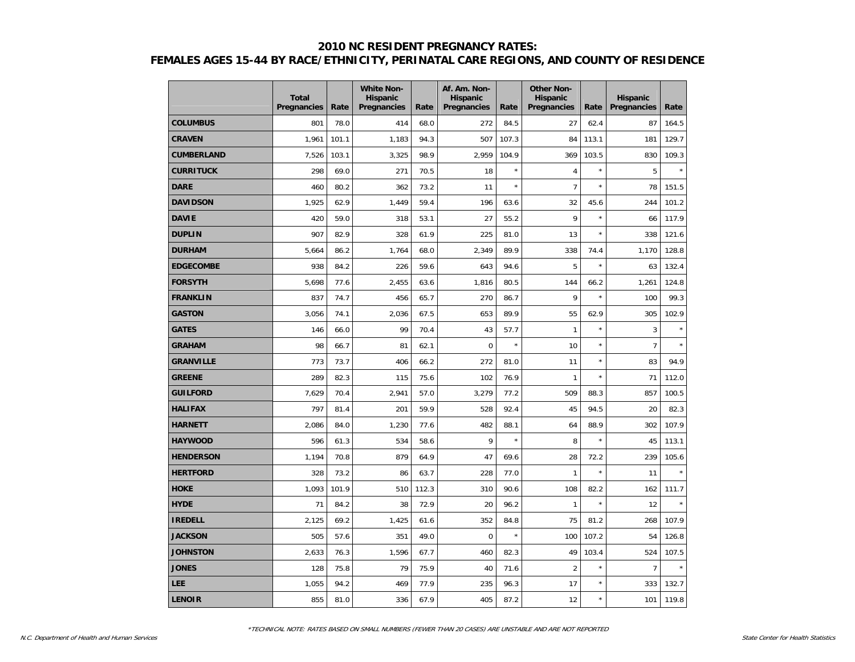|                   | <b>Total</b><br><b>Pregnancies</b> | Rate  | <b>White Non-</b><br><b>Hispanic</b><br><b>Pregnancies</b> | Rate  | Af. Am. Non-<br><b>Hispanic</b><br>Pregnancies | Rate    | <b>Other Non-</b><br><b>Hispanic</b><br>Pregnancies | Rate    | <b>Hispanic</b><br>Pregnancies | Rate    |
|-------------------|------------------------------------|-------|------------------------------------------------------------|-------|------------------------------------------------|---------|-----------------------------------------------------|---------|--------------------------------|---------|
| <b>COLUMBUS</b>   | 801                                | 78.0  | 414                                                        | 68.0  | 272                                            | 84.5    | 27                                                  | 62.4    | 87                             | 164.5   |
| <b>CRAVEN</b>     | 1.961                              | 101.1 | 1,183                                                      | 94.3  | 507                                            | 107.3   | 84                                                  | 113.1   | 181                            | 129.7   |
| <b>CUMBERLAND</b> | 7,526                              | 103.1 | 3,325                                                      | 98.9  | 2,959                                          | 104.9   | 369                                                 | 103.5   | 830                            | 109.3   |
| <b>CURRITUCK</b>  | 298                                | 69.0  | 271                                                        | 70.5  | 18                                             | $\star$ | $\overline{4}$                                      | $\star$ | 5                              | $\star$ |
| <b>DARE</b>       | 460                                | 80.2  | 362                                                        | 73.2  | 11                                             | $\star$ | $\overline{7}$                                      | $\star$ | 78                             | 151.5   |
| <b>DAVIDSON</b>   | 1,925                              | 62.9  | 1,449                                                      | 59.4  | 196                                            | 63.6    | 32                                                  | 45.6    | 244                            | 101.2   |
| <b>DAVIE</b>      | 420                                | 59.0  | 318                                                        | 53.1  | 27                                             | 55.2    | 9                                                   | $\star$ | 66                             | 117.9   |
| <b>DUPLIN</b>     | 907                                | 82.9  | 328                                                        | 61.9  | 225                                            | 81.0    | 13                                                  | $\star$ | 338                            | 121.6   |
| <b>DURHAM</b>     | 5,664                              | 86.2  | 1,764                                                      | 68.0  | 2,349                                          | 89.9    | 338                                                 | 74.4    | 1,170                          | 128.8   |
| <b>EDGECOMBE</b>  | 938                                | 84.2  | 226                                                        | 59.6  | 643                                            | 94.6    | 5                                                   | $\star$ | 63                             | 132.4   |
| <b>FORSYTH</b>    | 5,698                              | 77.6  | 2,455                                                      | 63.6  | 1,816                                          | 80.5    | 144                                                 | 66.2    | 1,261                          | 124.8   |
| <b>FRANKLIN</b>   | 837                                | 74.7  | 456                                                        | 65.7  | 270                                            | 86.7    | 9                                                   |         | 100                            | 99.3    |
| <b>GASTON</b>     | 3,056                              | 74.1  | 2,036                                                      | 67.5  | 653                                            | 89.9    | 55                                                  | 62.9    | 305                            | 102.9   |
| <b>GATES</b>      | 146                                | 66.0  | 99                                                         | 70.4  | 43                                             | 57.7    | $\mathbf{1}$                                        | $\star$ | 3                              |         |
| <b>GRAHAM</b>     | 98                                 | 66.7  | 81                                                         | 62.1  | $\overline{0}$                                 | $\star$ | 10                                                  | $\star$ | $\overline{7}$                 |         |
| <b>GRANVILLE</b>  | 773                                | 73.7  | 406                                                        | 66.2  | 272                                            | 81.0    | 11                                                  | $\star$ | 83                             | 94.9    |
| <b>GREENE</b>     | 289                                | 82.3  | 115                                                        | 75.6  | 102                                            | 76.9    | $\mathbf{1}$                                        | ×       | 71                             | 112.0   |
| <b>GUILFORD</b>   | 7,629                              | 70.4  | 2,941                                                      | 57.0  | 3,279                                          | 77.2    | 509                                                 | 88.3    | 857                            | 100.5   |
| <b>HALIFAX</b>    | 797                                | 81.4  | 201                                                        | 59.9  | 528                                            | 92.4    | 45                                                  | 94.5    | 20                             | 82.3    |
| <b>HARNETT</b>    | 2,086                              | 84.0  | 1,230                                                      | 77.6  | 482                                            | 88.1    | 64                                                  | 88.9    | 302                            | 107.9   |
| <b>HAYWOOD</b>    | 596                                | 61.3  | 534                                                        | 58.6  | 9                                              | $\star$ | 8                                                   | $\star$ | 45                             | 113.1   |
| <b>HENDERSON</b>  | 1,194                              | 70.8  | 879                                                        | 64.9  | 47                                             | 69.6    | 28                                                  | 72.2    | 239                            | 105.6   |
| <b>HERTFORD</b>   | 328                                | 73.2  | 86                                                         | 63.7  | 228                                            | 77.0    | $\mathbf{1}$                                        | ×       | 11                             |         |
| <b>HOKE</b>       | 1.093                              | 101.9 | 510                                                        | 112.3 | 310                                            | 90.6    | 108                                                 | 82.2    | 162                            | 111.7   |
| <b>HYDE</b>       | 71                                 | 84.2  | 38                                                         | 72.9  | 20                                             | 96.2    | $\mathbf{1}$                                        | $\star$ | 12                             |         |
| <b>IREDELL</b>    | 2,125                              | 69.2  | 1,425                                                      | 61.6  | 352                                            | 84.8    | 75                                                  | 81.2    | 268                            | 107.9   |
| <b>JACKSON</b>    | 505                                | 57.6  | 351                                                        | 49.0  | 0                                              | $\star$ | 100                                                 | 107.2   | 54                             | 126.8   |
| <b>JOHNSTON</b>   | 2,633                              | 76.3  | 1,596                                                      | 67.7  | 460                                            | 82.3    | 49                                                  | 103.4   | 524                            | 107.5   |
| <b>JONES</b>      | 128                                | 75.8  | 79                                                         | 75.9  | 40                                             | 71.6    | $\overline{2}$                                      | $\star$ | $\overline{7}$                 |         |
| <b>LEE</b>        | 1,055                              | 94.2  | 469                                                        | 77.9  | 235                                            | 96.3    | 17                                                  | $\star$ | 333                            | 132.7   |
| <b>LENOIR</b>     | 855                                | 81.0  | 336                                                        | 67.9  | 405                                            | 87.2    | 12                                                  | $\star$ | 101                            | 119.8   |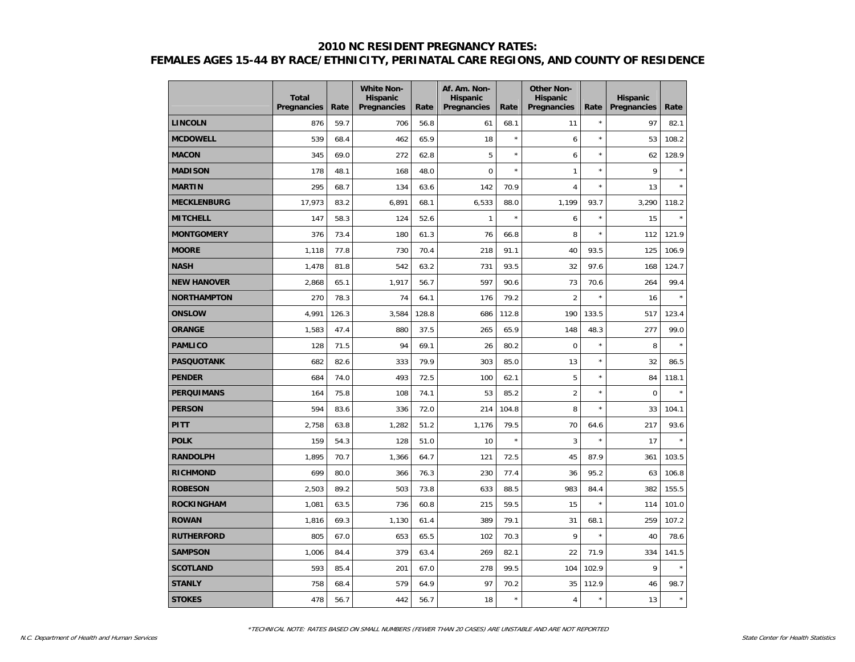|                    | <b>Total</b><br><b>Pregnancies</b> | Rate  | <b>White Non-</b><br><b>Hispanic</b><br><b>Pregnancies</b> | Rate  | Af. Am. Non-<br><b>Hispanic</b><br><b>Pregnancies</b> | Rate    | <b>Other Non-</b><br><b>Hispanic</b><br>Pregnancies | Rate    | <b>Hispanic</b><br>Pregnancies | Rate    |
|--------------------|------------------------------------|-------|------------------------------------------------------------|-------|-------------------------------------------------------|---------|-----------------------------------------------------|---------|--------------------------------|---------|
| <b>LINCOLN</b>     | 876                                | 59.7  | 706                                                        | 56.8  | 61                                                    | 68.1    | 11                                                  | $\star$ | 97                             | 82.1    |
| <b>MCDOWELL</b>    | 539                                | 68.4  | 462                                                        | 65.9  | 18                                                    | $\star$ | 6                                                   | $\star$ | 53                             | 108.2   |
| <b>MACON</b>       | 345                                | 69.0  | 272                                                        | 62.8  | 5                                                     | $\star$ | 6                                                   | $\star$ | 62                             | 128.9   |
| <b>MADISON</b>     | 178                                | 48.1  | 168                                                        | 48.0  | $\overline{0}$                                        | $\star$ | $\mathbf{1}$                                        | $\star$ | 9                              |         |
| <b>MARTIN</b>      | 295                                | 68.7  | 134                                                        | 63.6  | 142                                                   | 70.9    | $\overline{4}$                                      | $\star$ | 13                             |         |
| <b>MECKLENBURG</b> | 17,973                             | 83.2  | 6,891                                                      | 68.1  | 6,533                                                 | 88.0    | 1,199                                               | 93.7    | 3,290                          | 118.2   |
| <b>MITCHELL</b>    | 147                                | 58.3  | 124                                                        | 52.6  | $\mathbf{1}$                                          | $\star$ | 6                                                   | $\star$ | 15                             | $\star$ |
| <b>MONTGOMERY</b>  | 376                                | 73.4  | 180                                                        | 61.3  | 76                                                    | 66.8    | 8                                                   | $\star$ | 112                            | 121.9   |
| <b>MOORE</b>       | 1,118                              | 77.8  | 730                                                        | 70.4  | 218                                                   | 91.1    | 40                                                  | 93.5    | 125                            | 106.9   |
| <b>NASH</b>        | 1,478                              | 81.8  | 542                                                        | 63.2  | 731                                                   | 93.5    | 32                                                  | 97.6    | 168                            | 124.7   |
| <b>NEW HANOVER</b> | 2,868                              | 65.1  | 1,917                                                      | 56.7  | 597                                                   | 90.6    | 73                                                  | 70.6    | 264                            | 99.4    |
| <b>NORTHAMPTON</b> | 270                                | 78.3  | 74                                                         | 64.1  | 176                                                   | 79.2    | $\overline{2}$                                      |         | 16                             |         |
| <b>ONSLOW</b>      | 4.991                              | 126.3 | 3,584                                                      | 128.8 | 686                                                   | 112.8   | 190                                                 | 133.5   | 517                            | 123.4   |
| <b>ORANGE</b>      | 1,583                              | 47.4  | 880                                                        | 37.5  | 265                                                   | 65.9    | 148                                                 | 48.3    | 277                            | 99.0    |
| <b>PAMLICO</b>     | 128                                | 71.5  | 94                                                         | 69.1  | 26                                                    | 80.2    | $\mathbf 0$                                         | $\star$ | 8                              | $\star$ |
| <b>PASQUOTANK</b>  | 682                                | 82.6  | 333                                                        | 79.9  | 303                                                   | 85.0    | 13                                                  | $\star$ | 32                             | 86.5    |
| <b>PENDER</b>      | 684                                | 74.0  | 493                                                        | 72.5  | 100                                                   | 62.1    | 5                                                   | $\star$ | 84                             | 118.1   |
| <b>PERQUIMANS</b>  | 164                                | 75.8  | 108                                                        | 74.1  | 53                                                    | 85.2    | $\overline{2}$                                      | ×       | $\mathbf 0$                    |         |
| <b>PERSON</b>      | 594                                | 83.6  | 336                                                        | 72.0  | 214                                                   | 104.8   | 8                                                   | $\star$ | 33                             | 104.1   |
| PITT               | 2,758                              | 63.8  | 1,282                                                      | 51.2  | 1,176                                                 | 79.5    | 70                                                  | 64.6    | 217                            | 93.6    |
| <b>POLK</b>        | 159                                | 54.3  | 128                                                        | 51.0  | 10                                                    |         | 3                                                   | $\star$ | 17                             |         |
| <b>RANDOLPH</b>    | 1,895                              | 70.7  | 1,366                                                      | 64.7  | 121                                                   | 72.5    | 45                                                  | 87.9    | 361                            | 103.5   |
| <b>RICHMOND</b>    | 699                                | 80.0  | 366                                                        | 76.3  | 230                                                   | 77.4    | 36                                                  | 95.2    | 63                             | 106.8   |
| <b>ROBESON</b>     | 2.503                              | 89.2  | 503                                                        | 73.8  | 633                                                   | 88.5    | 983                                                 | 84.4    | 382                            | 155.5   |
| <b>ROCKINGHAM</b>  | 1,081                              | 63.5  | 736                                                        | 60.8  | 215                                                   | 59.5    | 15                                                  | $\star$ | 114                            | 101.0   |
| <b>ROWAN</b>       | 1,816                              | 69.3  | 1,130                                                      | 61.4  | 389                                                   | 79.1    | 31                                                  | 68.1    | 259                            | 107.2   |
| <b>RUTHERFORD</b>  | 805                                | 67.0  | 653                                                        | 65.5  | 102                                                   | 70.3    | 9                                                   | $\star$ | 40                             | 78.6    |
| <b>SAMPSON</b>     | 1,006                              | 84.4  | 379                                                        | 63.4  | 269                                                   | 82.1    | 22                                                  | 71.9    | 334                            | 141.5   |
| <b>SCOTLAND</b>    | 593                                | 85.4  | 201                                                        | 67.0  | 278                                                   | 99.5    | 104                                                 | 102.9   | 9                              |         |
| <b>STANLY</b>      | 758                                | 68.4  | 579                                                        | 64.9  | 97                                                    | 70.2    | 35                                                  | 112.9   | 46                             | 98.7    |
| <b>STOKES</b>      | 478                                | 56.7  | 442                                                        | 56.7  | 18                                                    | $\star$ | 4                                                   | $\star$ | 13                             | $\star$ |